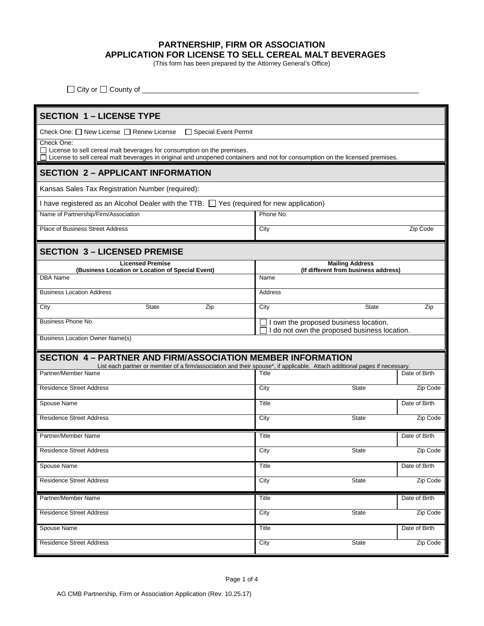## **PARTNERSHIP, FIRM OR ASSOCIATION APPLICATION FOR LICENSE TO SELL CEREAL MALT BEVERAGES**

(This form has been prepared by the Attorney General's Office)

| Ωr<br>nuntv of<br>.itv |  |
|------------------------|--|
| ___                    |  |

| <b>SECTION 1 - LICENSE TYPE</b>                                                                                                                                                                                              |              |                                                                |               |
|------------------------------------------------------------------------------------------------------------------------------------------------------------------------------------------------------------------------------|--------------|----------------------------------------------------------------|---------------|
| Check One: □ New License □ Renew License<br>□ Special Event Permit                                                                                                                                                           |              |                                                                |               |
| Check One:<br>$\Box$ License to sell cereal malt beverages for consumption on the premises.<br>□ License to sell cereal malt beverages in original and unopened containers and not for consumption on the licensed premises. |              |                                                                |               |
| <b>SECTION 2 - APPLICANT INFORMATION</b>                                                                                                                                                                                     |              |                                                                |               |
| Kansas Sales Tax Registration Number (required):                                                                                                                                                                             |              |                                                                |               |
| I have registered as an Alcohol Dealer with the TTB. The Yes (required for new application)                                                                                                                                  |              |                                                                |               |
| Name of Partnership/Firm/Association                                                                                                                                                                                         | Phone No.    |                                                                |               |
| <b>Place of Business Street Address</b>                                                                                                                                                                                      | City         |                                                                | Zip Code      |
| <b>SECTION 3 - LICENSED PREMISE</b>                                                                                                                                                                                          |              |                                                                |               |
| <b>Licensed Premise</b><br>(Business Location or Location of Special Event)                                                                                                                                                  |              | <b>Mailing Address</b><br>(If different from business address) |               |
| <b>DBA Name</b>                                                                                                                                                                                                              | Name         |                                                                |               |
| <b>Business Location Address</b>                                                                                                                                                                                             | Address      |                                                                |               |
| <b>State</b><br>City<br>Zip                                                                                                                                                                                                  | City         | <b>State</b>                                                   | Zip           |
| <b>Business Phone No.</b>                                                                                                                                                                                                    |              | I own the proposed business location.                          |               |
| <b>Business Location Owner Name(s)</b>                                                                                                                                                                                       |              | I do not own the proposed business location.                   |               |
|                                                                                                                                                                                                                              |              |                                                                |               |
| <b>SECTION 4- PARTNER AND FIRM/ASSOCIATION MEMBER INFORMATION</b><br>List each partner or member of a firm/association and their spouse*, if applicable. Attach additional pages if necessary.                               |              |                                                                |               |
| Partner/Member Name                                                                                                                                                                                                          | Title        |                                                                | Date of Birth |
| <b>Residence Street Address</b>                                                                                                                                                                                              | City         | <b>State</b>                                                   | Zip Code      |
| Spouse Name                                                                                                                                                                                                                  | Title        |                                                                | Date of Birth |
| <b>Residence Street Address</b>                                                                                                                                                                                              | City         | <b>State</b>                                                   | Zip Code      |
| Partner/Member Name                                                                                                                                                                                                          | <b>Title</b> |                                                                | Date of Birth |
| <b>Residence Street Address</b>                                                                                                                                                                                              | City         | <b>State</b>                                                   | Zip Code      |
| Spouse Name                                                                                                                                                                                                                  | Title        |                                                                | Date of Birth |
| <b>Residence Street Address</b>                                                                                                                                                                                              | City         | State                                                          | Zip Code      |
| Partner/Member Name                                                                                                                                                                                                          | Title        |                                                                | Date of Birth |
| <b>Residence Street Address</b>                                                                                                                                                                                              | City         | State                                                          | Zip Code      |
| Spouse Name                                                                                                                                                                                                                  | Title        |                                                                | Date of Birth |
|                                                                                                                                                                                                                              |              |                                                                |               |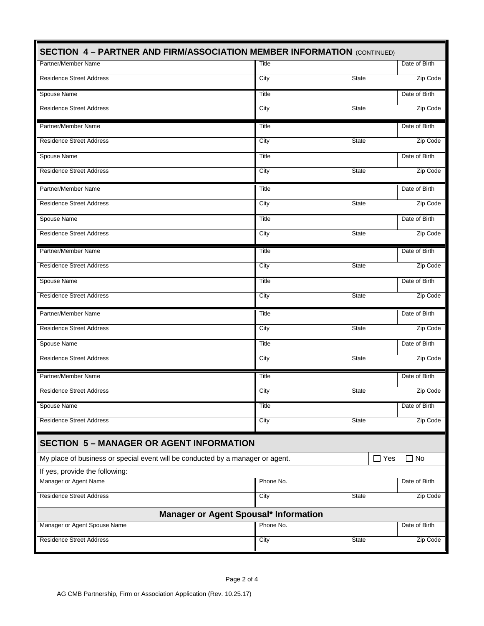| <b>SECTION 4 - PARTNER AND FIRM/ASSOCIATION MEMBER INFORMATION (CONTINUED)</b> |              |                |               |
|--------------------------------------------------------------------------------|--------------|----------------|---------------|
| Partner/Member Name                                                            | Title        |                | Date of Birth |
| <b>Residence Street Address</b>                                                | City         | <b>State</b>   | Zip Code      |
| Spouse Name                                                                    | Title        |                | Date of Birth |
| <b>Residence Street Address</b>                                                | City         | <b>State</b>   | Zip Code      |
| Partner/Member Name                                                            | Title        |                | Date of Birth |
| <b>Residence Street Address</b>                                                | City         | <b>State</b>   | Zip Code      |
| Spouse Name                                                                    | Title        |                | Date of Birth |
| <b>Residence Street Address</b>                                                | City         | <b>State</b>   | Zip Code      |
| Partner/Member Name                                                            | <b>Title</b> |                | Date of Birth |
| <b>Residence Street Address</b>                                                | City         | <b>State</b>   | Zip Code      |
| Spouse Name                                                                    | Title        |                | Date of Birth |
| <b>Residence Street Address</b>                                                | City         | <b>State</b>   | Zip Code      |
| Partner/Member Name                                                            | Title        |                | Date of Birth |
| <b>Residence Street Address</b>                                                | City         | <b>State</b>   | Zip Code      |
| Spouse Name                                                                    | Title        |                | Date of Birth |
| <b>Residence Street Address</b>                                                | City         | <b>State</b>   | Zip Code      |
| Partner/Member Name                                                            | <b>Title</b> |                | Date of Birth |
| <b>Residence Street Address</b>                                                | City         | <b>State</b>   | Zip Code      |
| Spouse Name                                                                    | <b>Title</b> |                | Date of Birth |
| <b>Residence Street Address</b>                                                | City         | <b>State</b>   | Zip Code      |
| Partner/Member Name                                                            | <b>Title</b> |                | Date of Birth |
| <b>Residence Street Address</b>                                                | City         | <b>State</b>   | Zip Code      |
| Spouse Name                                                                    | <b>Title</b> |                | Date of Birth |
| <b>Residence Street Address</b>                                                | City         | <b>State</b>   | Zip Code      |
| <b>SECTION 5 - MANAGER OR AGENT INFORMATION</b>                                |              |                |               |
| My place of business or special event will be conducted by a manager or agent. |              | Yes<br>$\perp$ | $\Box$ No     |
| If yes, provide the following:                                                 |              |                |               |
| Manager or Agent Name                                                          | Phone No.    |                | Date of Birth |
| <b>Residence Street Address</b>                                                | City         | State          | Zip Code      |
| Manager or Agent Spousal* Information                                          |              |                |               |
| Manager or Agent Spouse Name                                                   | Phone No.    |                | Date of Birth |
| <b>Residence Street Address</b>                                                | City         | <b>State</b>   | Zip Code      |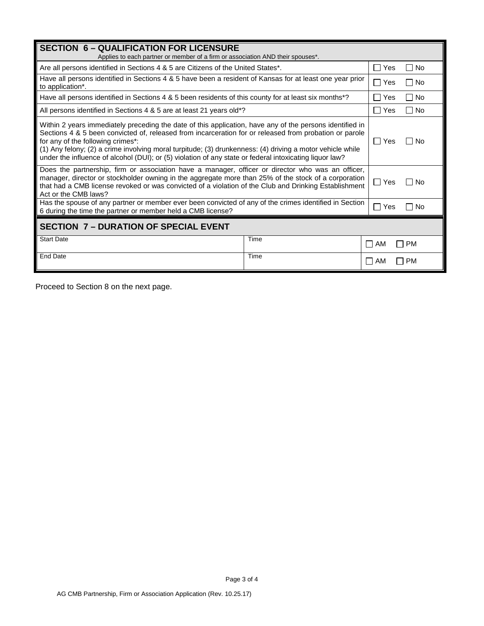| <b>SECTION 6 - QUALIFICATION FOR LICENSURE</b><br>Applies to each partner or member of a firm or association AND their spouses*.                                                                                                                                                                                                                                                                                                                                                |      |                        |
|---------------------------------------------------------------------------------------------------------------------------------------------------------------------------------------------------------------------------------------------------------------------------------------------------------------------------------------------------------------------------------------------------------------------------------------------------------------------------------|------|------------------------|
| Are all persons identified in Sections 4 & 5 are Citizens of the United States*.                                                                                                                                                                                                                                                                                                                                                                                                |      | ∏ Yes<br>T No          |
| Have all persons identified in Sections 4 & 5 have been a resident of Kansas for at least one year prior<br>to application*.                                                                                                                                                                                                                                                                                                                                                    |      | ∏ Yes<br>□ No          |
| Have all persons identified in Sections 4 & 5 been residents of this county for at least six months*?                                                                                                                                                                                                                                                                                                                                                                           |      | $\Box$<br>□ No<br>Yes  |
| All persons identified in Sections 4 & 5 are at least 21 years old*?                                                                                                                                                                                                                                                                                                                                                                                                            |      | ∏ Yes<br>□ No          |
| Within 2 years immediately preceding the date of this application, have any of the persons identified in<br>Sections 4 & 5 been convicted of, released from incarceration for or released from probation or parole<br>for any of the following crimes*:<br>(1) Any felony; (2) a crime involving moral turpitude; (3) drunkenness: (4) driving a motor vehicle while<br>under the influence of alcohol (DUI); or (5) violation of any state or federal intoxicating liquor law? |      | l IYes<br><b>No</b>    |
| Does the partnership, firm or association have a manager, officer or director who was an officer,<br>manager, director or stockholder owning in the aggregate more than 25% of the stock of a corporation<br>that had a CMB license revoked or was convicted of a violation of the Club and Drinking Establishment<br>Act or the CMB laws?                                                                                                                                      |      | $\Box$ Yes<br>l No     |
| Has the spouse of any partner or member ever been convicted of any of the crimes identified in Section<br>6 during the time the partner or member held a CMB license?                                                                                                                                                                                                                                                                                                           |      | $\Box$ Yes<br>No       |
| <b>SECTION 7 - DURATION OF SPECIAL EVENT</b>                                                                                                                                                                                                                                                                                                                                                                                                                                    |      |                        |
| <b>Start Date</b>                                                                                                                                                                                                                                                                                                                                                                                                                                                               | Time | <b>PM</b><br>$\Box$ am |
| <b>End Date</b>                                                                                                                                                                                                                                                                                                                                                                                                                                                                 | Time | I I PM<br>I I AM       |

Proceed to Section 8 on the next page.